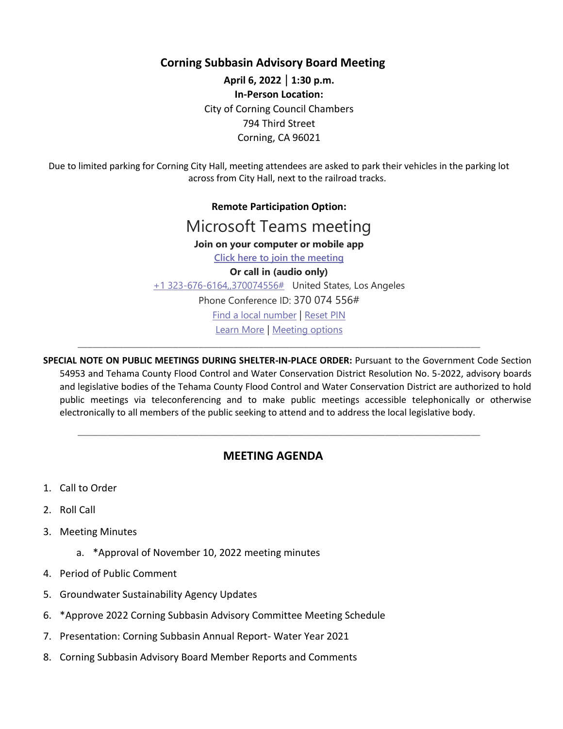**Corning Subbasin Advisory Board Meeting**

**April 6, 2022** | **1:30 p.m. In-Person Location:**  City of Corning Council Chambers 794 Third Street Corning, CA 96021

Due to limited parking for Corning City Hall, meeting attendees are asked to park their vehicles in the parking lot across from City Hall, next to the railroad tracks.

> **Remote Participation Option:** Microsoft Teams meeting **Join on your computer or mobile app Click here to join the meeting Or call in (audio only)** +1 323-676-6164,,370074556# United States, Los Angeles Phone Conference ID: 370 074 556# Find a local number | Reset PIN Learn More | Meeting options

**SPECIAL NOTE ON PUBLIC MEETINGS DURING SHELTER-IN-PLACE ORDER:** Pursuant to the Government Code Section 54953 and Tehama County Flood Control and Water Conservation District Resolution No. 5-2022, advisory boards and legislative bodies of the Tehama County Flood Control and Water Conservation District are authorized to hold public meetings via teleconferencing and to make public meetings accessible telephonically or otherwise electronically to all members of the public seeking to attend and to address the local legislative body.

\_\_\_\_\_\_\_\_\_\_\_\_\_\_\_\_\_\_\_\_\_\_\_\_\_\_\_\_\_\_\_\_\_\_\_\_\_\_\_\_\_\_\_\_\_\_\_\_\_\_\_\_\_\_\_\_\_\_\_\_\_\_\_\_\_\_\_\_\_\_\_\_\_\_\_\_\_\_\_\_

## **MEETING AGENDA**

\_\_\_\_\_\_\_\_\_\_\_\_\_\_\_\_\_\_\_\_\_\_\_\_\_\_\_\_\_\_\_\_\_\_\_\_\_\_\_\_\_\_\_\_\_\_\_\_\_\_\_\_\_\_\_\_\_\_\_\_\_\_\_\_\_\_\_\_\_\_\_\_\_\_\_\_\_\_\_\_

- 1. Call to Order
- 2. Roll Call
- 3. Meeting Minutes
	- a. \*Approval of November 10, 2022 meeting minutes
- 4. Period of Public Comment
- 5. Groundwater Sustainability Agency Updates
- 6. \*Approve 2022 Corning Subbasin Advisory Committee Meeting Schedule
- 7. Presentation: Corning Subbasin Annual Report- Water Year 2021
- 8. Corning Subbasin Advisory Board Member Reports and Comments